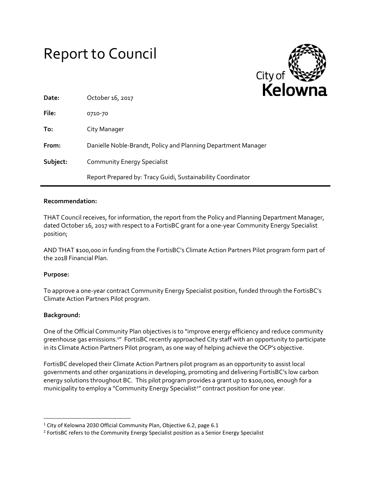# Report to Council



| Date:    | October 16, 2017                                              |
|----------|---------------------------------------------------------------|
| File:    | 0710-70                                                       |
| To:      | City Manager                                                  |
| From:    | Danielle Noble-Brandt, Policy and Planning Department Manager |
| Subject: | <b>Community Energy Specialist</b>                            |
|          | Report Prepared by: Tracy Guidi, Sustainability Coordinator   |

## **Recommendation:**

THAT Council receives, for information, the report from the Policy and Planning Department Manager, dated October 16, 2017 with respect to a FortisBC grant for a one-year Community Energy Specialist position;

AND THAT \$100,000 in funding from the FortisBC's Climate Action Partners Pilot program form part of the 2018 Financial Plan.

## **Purpose:**

To approve a one-year contract Community Energy Specialist position, funded through the FortisBC's Climate Action Partners Pilot program.

## **Background:**

l

One of the Official Community Plan objectives is to "improve energy efficiency and reduce community greenhouse gas emissions.<sup>1</sup>" FortisBC recently approached City staff with an opportunity to participate in its Climate Action Partners Pilot program, as one way of helping achieve the OCP's objective.

FortisBC developed their Climate Action Partners pilot program as an opportunity to assist local governments and other organizations in developing, promoting and delivering FortisBC's low carbon energy solutions throughout BC. This pilot program provides a grant up to \$100,000, enough for a municipality to employ a "Community Energy Specialist<sup>2</sup>" contract position for one year.

 $1$  City of Kelowna 2030 Official Community Plan, Objective 6.2, page 6.1

<sup>&</sup>lt;sup>2</sup> FortisBC refers to the Community Energy Specialist position as a Senior Energy Specialist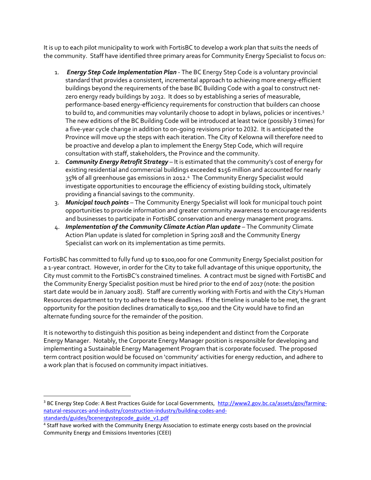It is up to each pilot municipality to work with FortisBC to develop a work plan that suits the needs of the community. Staff have identified three primary areas for Community Energy Specialist to focus on:

- 1. *Energy Step Code Implementation Plan* The BC Energy Step Code is a voluntary provincial standard that provides a consistent, incremental approach to achieving more energy-efficient buildings beyond the requirements of the base BC Building Code with a goal to construct netzero energy ready buildings by 2032. It does so by establishing a series of measurable, performance-based energy-efficiency requirements for construction that builders can choose to build to, and communities may voluntarily choose to adopt in bylaws, policies or incentives. 3 The new editions of the BC Building Code will be introduced at least twice (possibly 3 times) for a five-year cycle change in addition to on-going revisions prior to 2032. It is anticipated the Province will move up the steps with each iteration. The City of Kelowna will therefore need to be proactive and develop a plan to implement the Energy Step Code, which will require consultation with staff, stakeholders, the Province and the community.
- 2. *Community Energy Retrofit Strategy* It is estimated that the community's cost of energy for existing residential and commercial buildings exceeded \$156 million and accounted for nearly 35% of all greenhouse gas emissions in 2012. 4 The Community Energy Specialist would investigate opportunities to encourage the efficiency of existing building stock, ultimately providing a financial savings to the community.
- 3. *Municipal touch points* The Community Energy Specialist will look for municipal touch point opportunities to provide information and greater community awareness to encourage residents and businesses to participate in FortisBC conservation and energy management programs.
- 4. *Implementation of the Community Climate Action Plan update* The Community Climate Action Plan update is slated for completion in Spring 2018 and the Community Energy Specialist can work on its implementation as time permits.

FortisBC has committed to fully fund up to \$100,000 for one Community Energy Specialist position for a 1-year contract. However, in order for the City to take full advantage of this unique opportunity, the City must commit to the FortisBC's constrained timelines. A contract must be signed with FortisBC and the Community Energy Specialist position must be hired prior to the end of 2017 (note: the position start date would be in January 2018). Staff are currently working with Fortis and with the City's Human Resources department to try to adhere to these deadlines. If the timeline is unable to be met, the grant opportunity for the position declines dramatically to \$50,000 and the City would have to find an alternate funding source for the remainder of the position.

It is noteworthy to distinguish this position as being independent and distinct from the Corporate Energy Manager. Notably, the Corporate Energy Manager position is responsible for developing and implementing a Sustainable Energy Management Program that is corporate focused. The proposed term contract position would be focused on 'community' activities for energy reduction, and adhere to a work plan that is focused on community impact initiatives.

l

<sup>&</sup>lt;sup>3</sup> BC Energy Step Code: A Best Practices Guide for Local Governments, [http://www2.gov.bc.ca/assets/gov/farming](http://www2.gov.bc.ca/assets/gov/farming-natural-resources-and-industry/construction-industry/building-codes-and-standards/guides/bcenergystepcode_guide_v1.pdf)[natural-resources-and-industry/construction-industry/building-codes-and](http://www2.gov.bc.ca/assets/gov/farming-natural-resources-and-industry/construction-industry/building-codes-and-standards/guides/bcenergystepcode_guide_v1.pdf)[standards/guides/bcenergystepcode\\_guide\\_v1.pdf](http://www2.gov.bc.ca/assets/gov/farming-natural-resources-and-industry/construction-industry/building-codes-and-standards/guides/bcenergystepcode_guide_v1.pdf)

<sup>&</sup>lt;sup>4</sup> Staff have worked with the Community Energy Association to estimate energy costs based on the provincial Community Energy and Emissions Inventories (CEEI)